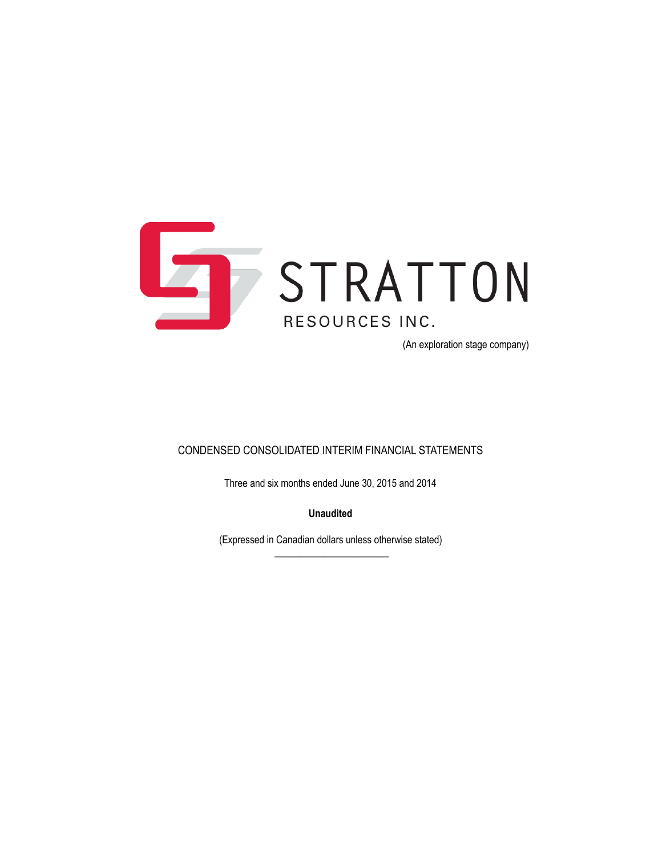

(An exploration stage company)

### CONDENSED CONSOLIDATED INTERIM FINANCIAL STATEMENTS

Three and six months ended June 30, 2015 and 2014

**Unaudited**

(Expressed in Canadian dollars unless otherwise stated)  $\overline{\phantom{a}}$  , where the contract of the contract of the contract of the contract of the contract of the contract of the contract of the contract of the contract of the contract of the contract of the contract of the contr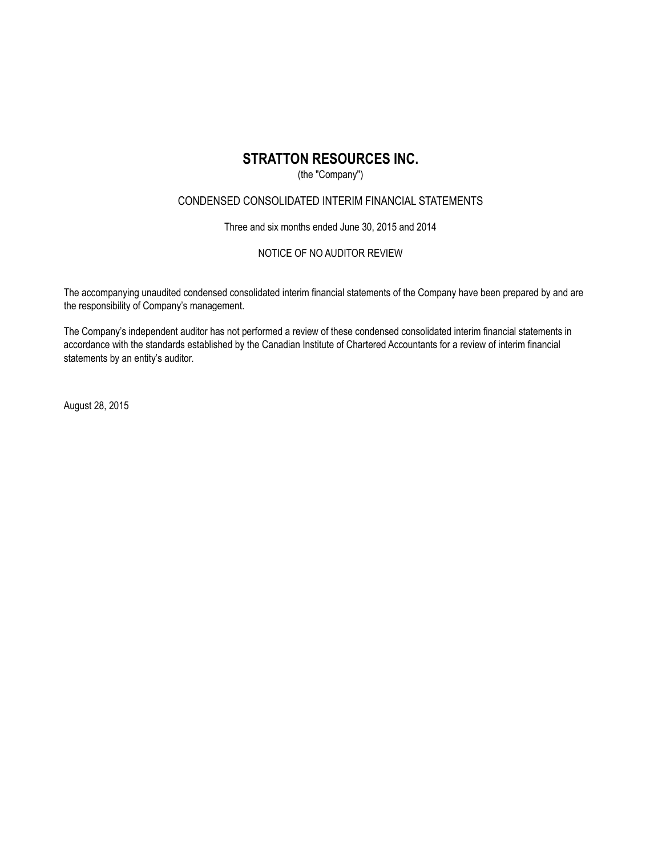### (the "Company")

### CONDENSED CONSOLIDATED INTERIM FINANCIAL STATEMENTS

Three and six months ended June 30, 2015 and 2014

### NOTICE OF NO AUDITOR REVIEW

The accompanying unaudited condensed consolidated interim financial statements of the Company have been prepared by and are the responsibility of Company's management.

The Company's independent auditor has not performed a review of these condensed consolidated interim financial statements in accordance with the standards established by the Canadian Institute of Chartered Accountants for a review of interim financial statements by an entity's auditor.

August 28, 2015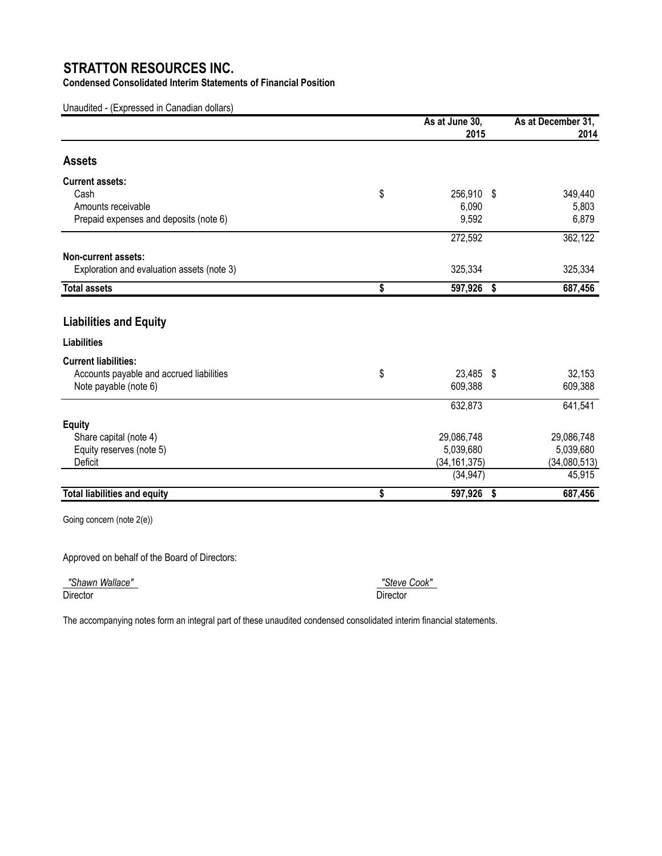**Condensed Consolidated Interim Statements of Financial Position**

Unaudited - (Expressed in Canadian dollars)

|                                            | As at June 30,<br>2015 | As at December 31,<br>2014 |
|--------------------------------------------|------------------------|----------------------------|
| <b>Assets</b>                              |                        |                            |
| <b>Current assets:</b>                     |                        |                            |
| Cash                                       | \$<br>256,910 \$       | 349,440                    |
| Amounts receivable                         | 6,090                  | 5,803                      |
| Prepaid expenses and deposits (note 6)     | 9,592                  | 6,879                      |
|                                            | 272,592                | 362,122                    |
| Non-current assets:                        |                        |                            |
| Exploration and evaluation assets (note 3) | 325,334                | 325,334                    |
| <b>Total assets</b>                        | \$<br>597,926          | \$<br>687,456              |
|                                            |                        |                            |
| <b>Liabilities and Equity</b>              |                        |                            |
| <b>Liabilities</b>                         |                        |                            |
| <b>Current liabilities:</b>                |                        |                            |
| Accounts payable and accrued liabilities   | \$<br>23,485 \$        | 32,153                     |
| Note payable (note 6)                      | 609,388                | 609,388                    |
|                                            | 632,873                | 641,541                    |
| <b>Equity</b>                              |                        |                            |
| Share capital (note 4)                     | 29,086,748             | 29,086,748                 |
| Equity reserves (note 5)                   | 5,039,680              | 5,039,680                  |
| Deficit                                    | (34, 161, 375)         | (34,080,513)               |
|                                            | (34, 947)              | 45,915                     |
| <b>Total liabilities and equity</b>        | \$<br>597,926          | \$<br>687,456              |

Going concern (note 2(e))

Approved on behalf of the Board of Directors:

 *"Shawn Wallace" "Steve Cook"*  Director Director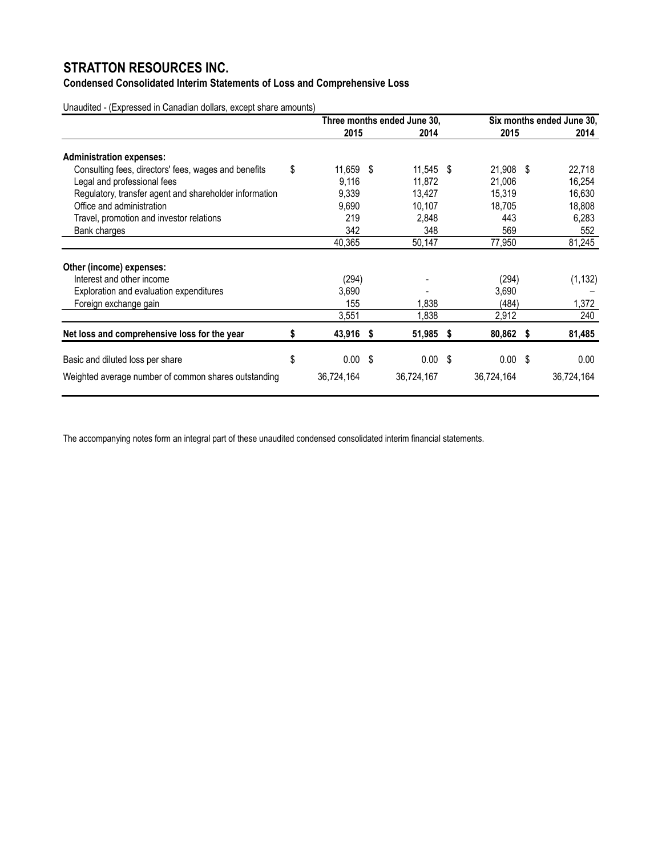### **Condensed Consolidated Interim Statements of Loss and Comprehensive Loss**

Unaudited - (Expressed in Canadian dollars, except share amounts)

|                                                        |    | Three months ended June 30, |  |                    |  |                    | Six months ended June 30, |            |  |  |
|--------------------------------------------------------|----|-----------------------------|--|--------------------|--|--------------------|---------------------------|------------|--|--|
|                                                        |    | 2015                        |  | 2014               |  | 2015               |                           | 2014       |  |  |
| <b>Administration expenses:</b>                        |    |                             |  |                    |  |                    |                           |            |  |  |
| Consulting fees, directors' fees, wages and benefits   | \$ | 11,659 \$                   |  | $11,545$ \$        |  | 21,908 \$          |                           | 22,718     |  |  |
| Legal and professional fees                            |    | 9,116                       |  | 11,872             |  | 21,006             |                           | 16,254     |  |  |
| Regulatory, transfer agent and shareholder information |    | 9,339                       |  | 13,427             |  | 15,319             |                           | 16,630     |  |  |
| Office and administration                              |    | 9,690                       |  | 10,107             |  | 18.705             |                           | 18,808     |  |  |
| Travel, promotion and investor relations               |    | 219                         |  | 2,848              |  | 443                |                           | 6,283      |  |  |
| Bank charges                                           |    | 342                         |  | 348                |  | 569                |                           | 552        |  |  |
|                                                        |    | 40,365                      |  | 50,147             |  | 77,950             |                           | 81,245     |  |  |
| Other (income) expenses:                               |    |                             |  |                    |  |                    |                           |            |  |  |
| Interest and other income                              |    | (294)                       |  |                    |  | (294)              |                           | (1, 132)   |  |  |
| Exploration and evaluation expenditures                |    | 3,690                       |  |                    |  | 3,690              |                           |            |  |  |
| Foreign exchange gain                                  |    | 155                         |  | 1,838              |  | (484)              |                           | 1,372      |  |  |
|                                                        |    | 3,551                       |  | 1,838              |  | 2,912              |                           | 240        |  |  |
| Net loss and comprehensive loss for the year           | S  | 43,916 \$                   |  | 51,985 \$          |  | 80,862 \$          |                           | 81,485     |  |  |
| Basic and diluted loss per share                       | \$ | $0.00 \text{ }$ \$          |  | $0.00 \text{ }$ \$ |  | $0.00 \text{ }$ \$ |                           | 0.00       |  |  |
|                                                        |    |                             |  |                    |  |                    |                           |            |  |  |
| Weighted average number of common shares outstanding   |    | 36,724,164                  |  | 36,724,167         |  | 36,724,164         |                           | 36,724,164 |  |  |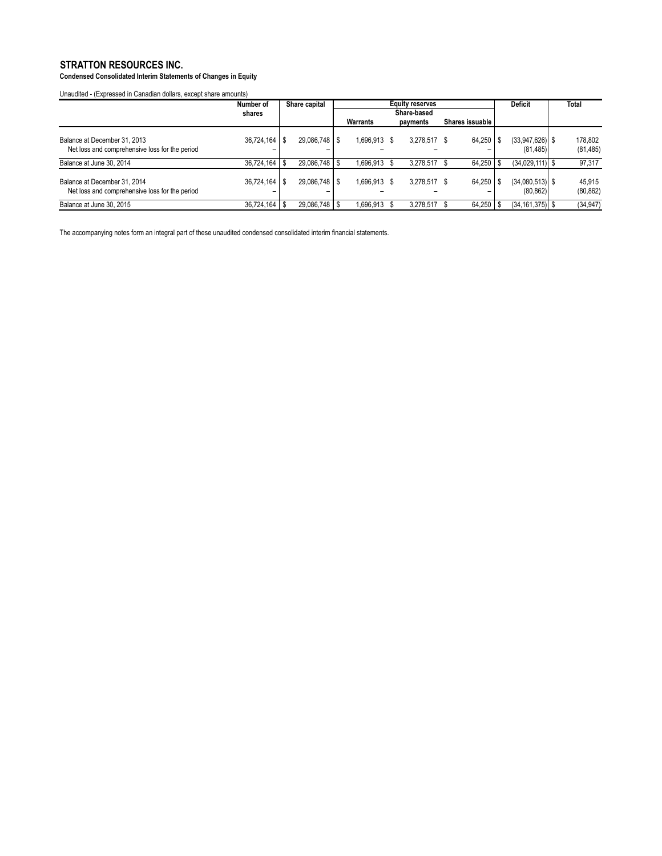**Condensed Consolidated Interim Statements of Changes in Equity**

Unaudited - (Expressed in Canadian dollars, except share amounts)

|                                                                                | Number of         | Share capital   |             | <b>Equity reserves</b> |  |              |  |                 | <b>Deficit</b>                 | <b>Total</b>         |
|--------------------------------------------------------------------------------|-------------------|-----------------|-------------|------------------------|--|--------------|--|-----------------|--------------------------------|----------------------|
|                                                                                | shares            |                 | Share-based |                        |  |              |  |                 |                                |                      |
|                                                                                |                   |                 |             | Warrants               |  | payments     |  | Shares issuable |                                |                      |
| Balance at December 31, 2013<br>Net loss and comprehensive loss for the period | 36,724,164        | 29.086.748   \$ |             | 1,696,913 \$           |  | 3.278.517 \$ |  | $64.250$ S      | $(33,947,626)$ \$<br>(81, 485) | 178.802<br>(81, 485) |
| Balance at June 30, 2014                                                       | $36,724,164$ \ \$ | 29,086,748   \$ |             | 1,696,913              |  | 3,278,517    |  | $64,250$ \ \$   | $(34.029.111)$ \$              | 97,317               |
| Balance at December 31, 2014<br>Net loss and comprehensive loss for the period | 36,724,164        | 29.086.748   \$ |             | 1,696,913 \$           |  | 3,278,517 \$ |  | 64.250          | $(34,080,513)$ \$<br>(80, 862) | 45,915<br>(80, 862)  |
| Balance at June 30, 2015                                                       | 36,724,164        | 29,086,748   \$ |             | 1,696,913              |  | 3,278,517    |  | $64,250$ \$     | $(34, 161, 375)$ \$            | (34, 947)            |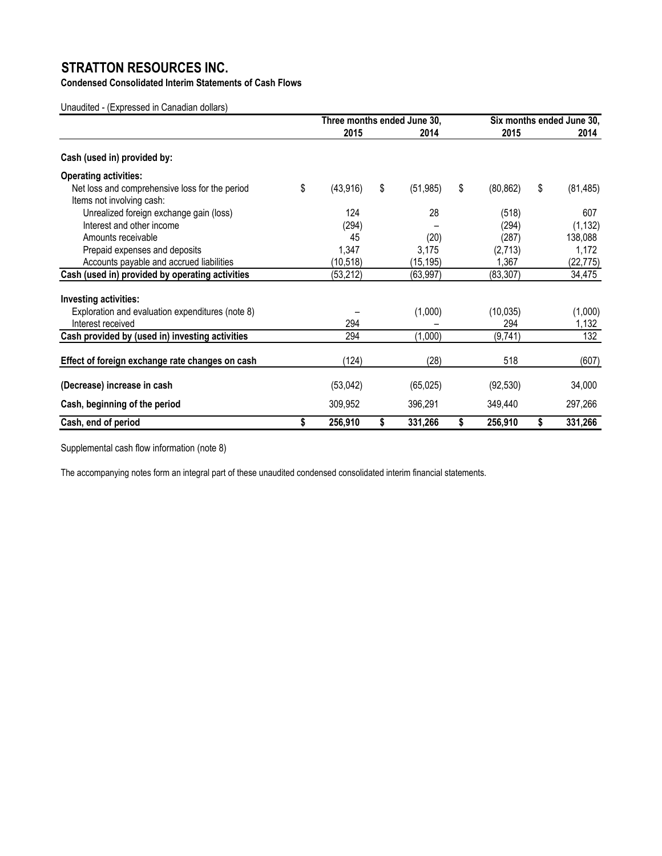**Condensed Consolidated Interim Statements of Cash Flows**

Unaudited - (Expressed in Canadian dollars)

|                                                  | Three months ended June 30, |    |           | Six months ended June 30, |    |           |  |
|--------------------------------------------------|-----------------------------|----|-----------|---------------------------|----|-----------|--|
|                                                  | 2015                        |    | 2014      | 2015                      |    | 2014      |  |
| Cash (used in) provided by:                      |                             |    |           |                           |    |           |  |
| <b>Operating activities:</b>                     |                             |    |           |                           |    |           |  |
| Net loss and comprehensive loss for the period   | \$<br>(43, 916)             | \$ | (51, 985) | \$<br>(80, 862)           | \$ | (81, 485) |  |
| Items not involving cash:                        |                             |    |           |                           |    |           |  |
| Unrealized foreign exchange gain (loss)          | 124                         |    | 28        | (518)                     |    | 607       |  |
| Interest and other income                        | (294)                       |    |           | (294)                     |    | (1, 132)  |  |
| Amounts receivable                               | 45                          |    | (20)      | (287)                     |    | 138,088   |  |
| Prepaid expenses and deposits                    | 1,347                       |    | 3,175     | (2,713)                   |    | 1,172     |  |
| Accounts payable and accrued liabilities         | (10, 518)                   |    | (15, 195) | 1,367                     |    | (22, 775) |  |
| Cash (used in) provided by operating activities  | (53, 212)                   |    | (63, 997) | (83, 307)                 |    | 34,475    |  |
| Investing activities:                            |                             |    |           |                           |    |           |  |
| Exploration and evaluation expenditures (note 8) |                             |    | (1,000)   | (10, 035)                 |    | (1,000)   |  |
| Interest received                                | 294                         |    |           | 294                       |    | 1,132     |  |
| Cash provided by (used in) investing activities  | 294                         |    | (1,000)   | (9,741)                   |    | 132       |  |
| Effect of foreign exchange rate changes on cash  | (124)                       |    | (28)      | 518                       |    | (607)     |  |
| (Decrease) increase in cash                      | (53,042)                    |    | (65, 025) | (92, 530)                 |    | 34,000    |  |
| Cash, beginning of the period                    | 309,952                     |    | 396,291   | 349,440                   |    | 297,266   |  |
| Cash, end of period                              | \$<br>256,910               | \$ | 331,266   | \$<br>256,910             | \$ | 331,266   |  |

Supplemental cash flow information (note 8)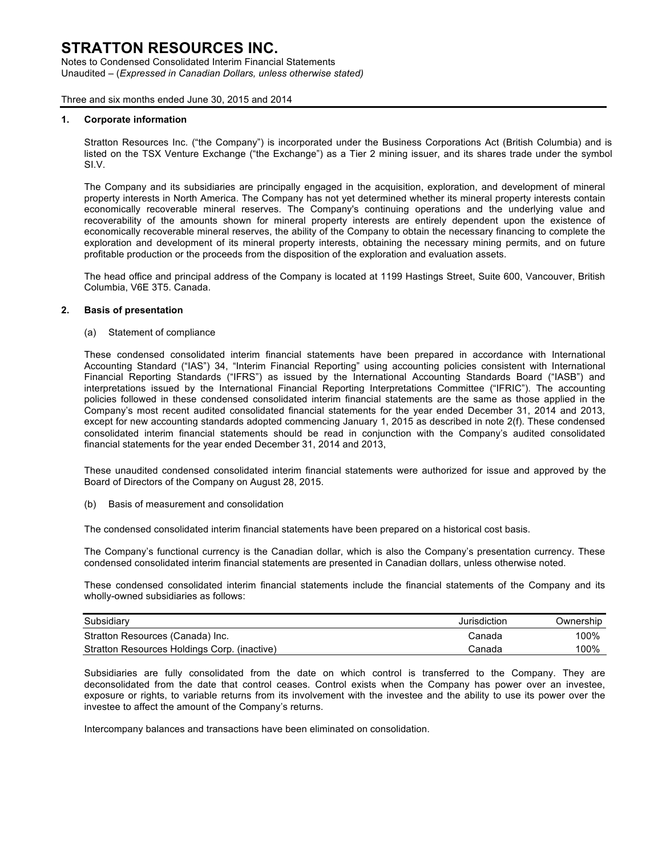Notes to Condensed Consolidated Interim Financial Statements Unaudited – (*Expressed in Canadian Dollars, unless otherwise stated)*

Three and six months ended June 30, 2015 and 2014

#### **1. Corporate information**

Stratton Resources Inc. ("the Company") is incorporated under the Business Corporations Act (British Columbia) and is listed on the TSX Venture Exchange ("the Exchange") as a Tier 2 mining issuer, and its shares trade under the symbol SI.V.

The Company and its subsidiaries are principally engaged in the acquisition, exploration, and development of mineral property interests in North America. The Company has not yet determined whether its mineral property interests contain economically recoverable mineral reserves. The Company's continuing operations and the underlying value and recoverability of the amounts shown for mineral property interests are entirely dependent upon the existence of economically recoverable mineral reserves, the ability of the Company to obtain the necessary financing to complete the exploration and development of its mineral property interests, obtaining the necessary mining permits, and on future profitable production or the proceeds from the disposition of the exploration and evaluation assets.

The head office and principal address of the Company is located at 1199 Hastings Street, Suite 600, Vancouver, British Columbia, V6E 3T5. Canada.

#### **2. Basis of presentation**

(a) Statement of compliance

These condensed consolidated interim financial statements have been prepared in accordance with International Accounting Standard ("IAS") 34, "Interim Financial Reporting" using accounting policies consistent with International Financial Reporting Standards ("IFRS") as issued by the International Accounting Standards Board ("IASB") and interpretations issued by the International Financial Reporting Interpretations Committee ("IFRIC"). The accounting policies followed in these condensed consolidated interim financial statements are the same as those applied in the Company's most recent audited consolidated financial statements for the year ended December 31, 2014 and 2013, except for new accounting standards adopted commencing January 1, 2015 as described in note 2(f). These condensed consolidated interim financial statements should be read in conjunction with the Company's audited consolidated financial statements for the year ended December 31, 2014 and 2013,

These unaudited condensed consolidated interim financial statements were authorized for issue and approved by the Board of Directors of the Company on August 28, 2015.

(b) Basis of measurement and consolidation

The condensed consolidated interim financial statements have been prepared on a historical cost basis.

The Company's functional currency is the Canadian dollar, which is also the Company's presentation currency. These condensed consolidated interim financial statements are presented in Canadian dollars, unless otherwise noted.

These condensed consolidated interim financial statements include the financial statements of the Company and its wholly-owned subsidiaries as follows:

| Subsidiary                                   | Jurisdiction | Ownership |
|----------------------------------------------|--------------|-----------|
| Stratton Resources (Canada) Inc.             | Canada       | 100%      |
| Stratton Resources Holdings Corp. (inactive) | Canada       | 100%      |

Subsidiaries are fully consolidated from the date on which control is transferred to the Company. They are deconsolidated from the date that control ceases. Control exists when the Company has power over an investee, exposure or rights, to variable returns from its involvement with the investee and the ability to use its power over the investee to affect the amount of the Company's returns.

Intercompany balances and transactions have been eliminated on consolidation.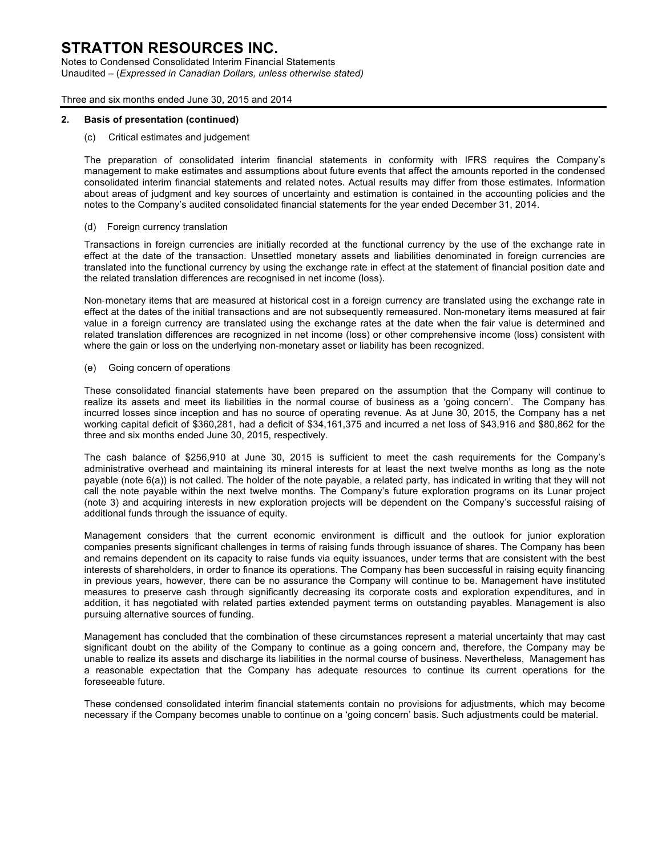Notes to Condensed Consolidated Interim Financial Statements Unaudited – (*Expressed in Canadian Dollars, unless otherwise stated)*

Three and six months ended June 30, 2015 and 2014

#### **2. Basis of presentation (continued)**

#### (c) Critical estimates and judgement

The preparation of consolidated interim financial statements in conformity with IFRS requires the Company's management to make estimates and assumptions about future events that affect the amounts reported in the condensed consolidated interim financial statements and related notes. Actual results may differ from those estimates. Information about areas of judgment and key sources of uncertainty and estimation is contained in the accounting policies and the notes to the Company's audited consolidated financial statements for the year ended December 31, 2014.

#### (d) Foreign currency translation

Transactions in foreign currencies are initially recorded at the functional currency by the use of the exchange rate in effect at the date of the transaction. Unsettled monetary assets and liabilities denominated in foreign currencies are translated into the functional currency by using the exchange rate in effect at the statement of financial position date and the related translation differences are recognised in net income (loss).

Non-monetary items that are measured at historical cost in a foreign currency are translated using the exchange rate in effect at the dates of the initial transactions and are not subsequently remeasured. Non-monetary items measured at fair value in a foreign currency are translated using the exchange rates at the date when the fair value is determined and related translation differences are recognized in net income (loss) or other comprehensive income (loss) consistent with where the gain or loss on the underlying non-monetary asset or liability has been recognized.

#### (e) Going concern of operations

These consolidated financial statements have been prepared on the assumption that the Company will continue to realize its assets and meet its liabilities in the normal course of business as a 'going concern'. The Company has incurred losses since inception and has no source of operating revenue. As at June 30, 2015, the Company has a net working capital deficit of \$360,281, had a deficit of \$34,161,375 and incurred a net loss of \$43,916 and \$80,862 for the three and six months ended June 30, 2015, respectively.

The cash balance of \$256,910 at June 30, 2015 is sufficient to meet the cash requirements for the Company's administrative overhead and maintaining its mineral interests for at least the next twelve months as long as the note payable (note 6(a)) is not called. The holder of the note payable, a related party, has indicated in writing that they will not call the note payable within the next twelve months. The Company's future exploration programs on its Lunar project (note 3) and acquiring interests in new exploration projects will be dependent on the Company's successful raising of additional funds through the issuance of equity.

Management considers that the current economic environment is difficult and the outlook for junior exploration companies presents significant challenges in terms of raising funds through issuance of shares. The Company has been and remains dependent on its capacity to raise funds via equity issuances, under terms that are consistent with the best interests of shareholders, in order to finance its operations. The Company has been successful in raising equity financing in previous years, however, there can be no assurance the Company will continue to be. Management have instituted measures to preserve cash through significantly decreasing its corporate costs and exploration expenditures, and in addition, it has negotiated with related parties extended payment terms on outstanding payables. Management is also pursuing alternative sources of funding.

Management has concluded that the combination of these circumstances represent a material uncertainty that may cast significant doubt on the ability of the Company to continue as a going concern and, therefore, the Company may be unable to realize its assets and discharge its liabilities in the normal course of business. Nevertheless, Management has a reasonable expectation that the Company has adequate resources to continue its current operations for the foreseeable future.

These condensed consolidated interim financial statements contain no provisions for adjustments, which may become necessary if the Company becomes unable to continue on a 'going concern' basis. Such adjustments could be material.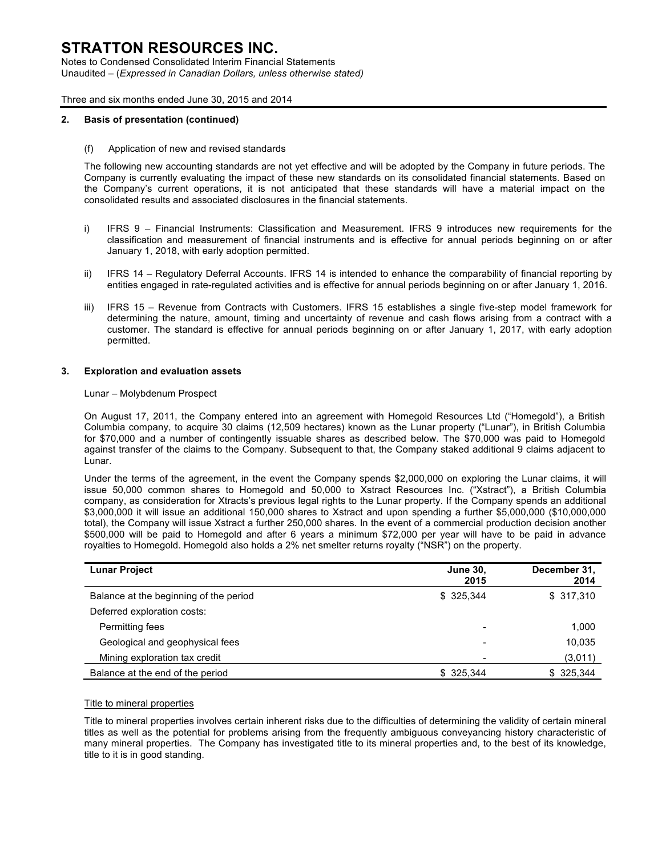Notes to Condensed Consolidated Interim Financial Statements Unaudited – (*Expressed in Canadian Dollars, unless otherwise stated)*

Three and six months ended June 30, 2015 and 2014

#### **2. Basis of presentation (continued)**

(f) Application of new and revised standards

The following new accounting standards are not yet effective and will be adopted by the Company in future periods. The Company is currently evaluating the impact of these new standards on its consolidated financial statements. Based on the Company's current operations, it is not anticipated that these standards will have a material impact on the consolidated results and associated disclosures in the financial statements.

- i) IFRS 9 Financial Instruments: Classification and Measurement. IFRS 9 introduces new requirements for the classification and measurement of financial instruments and is effective for annual periods beginning on or after January 1, 2018, with early adoption permitted.
- ii) IFRS 14 Regulatory Deferral Accounts. IFRS 14 is intended to enhance the comparability of financial reporting by entities engaged in rate-regulated activities and is effective for annual periods beginning on or after January 1, 2016.
- iii) IFRS 15 Revenue from Contracts with Customers. IFRS 15 establishes a single five-step model framework for determining the nature, amount, timing and uncertainty of revenue and cash flows arising from a contract with a customer. The standard is effective for annual periods beginning on or after January 1, 2017, with early adoption permitted.

#### **3. Exploration and evaluation assets**

#### Lunar – Molybdenum Prospect

On August 17, 2011, the Company entered into an agreement with Homegold Resources Ltd ("Homegold"), a British Columbia company, to acquire 30 claims (12,509 hectares) known as the Lunar property ("Lunar"), in British Columbia for \$70,000 and a number of contingently issuable shares as described below. The \$70,000 was paid to Homegold against transfer of the claims to the Company. Subsequent to that, the Company staked additional 9 claims adjacent to Lunar.

Under the terms of the agreement, in the event the Company spends \$2,000,000 on exploring the Lunar claims, it will issue 50,000 common shares to Homegold and 50,000 to Xstract Resources Inc. ("Xstract"), a British Columbia company, as consideration for Xtracts's previous legal rights to the Lunar property. If the Company spends an additional \$3,000,000 it will issue an additional 150,000 shares to Xstract and upon spending a further \$5,000,000 (\$10,000,000 total), the Company will issue Xstract a further 250,000 shares. In the event of a commercial production decision another \$500,000 will be paid to Homegold and after 6 years a minimum \$72,000 per year will have to be paid in advance royalties to Homegold. Homegold also holds a 2% net smelter returns royalty ("NSR") on the property.

| <b>Lunar Project</b>                   | <b>June 30,</b><br>2015 | December 31,<br>2014 |
|----------------------------------------|-------------------------|----------------------|
| Balance at the beginning of the period | \$ 325.344              | \$317,310            |
| Deferred exploration costs:            |                         |                      |
| Permitting fees                        |                         | 1,000                |
| Geological and geophysical fees        |                         | 10,035               |
| Mining exploration tax credit          | -                       | (3,011)              |
| Balance at the end of the period       | \$325,344               | \$ 325,344           |

#### Title to mineral properties

Title to mineral properties involves certain inherent risks due to the difficulties of determining the validity of certain mineral titles as well as the potential for problems arising from the frequently ambiguous conveyancing history characteristic of many mineral properties. The Company has investigated title to its mineral properties and, to the best of its knowledge, title to it is in good standing.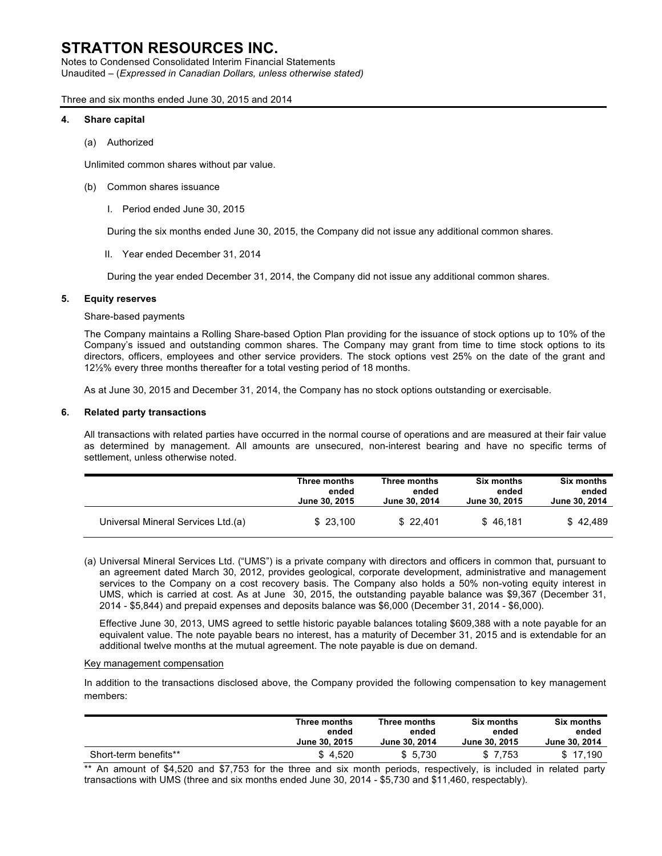Notes to Condensed Consolidated Interim Financial Statements Unaudited – (*Expressed in Canadian Dollars, unless otherwise stated)*

Three and six months ended June 30, 2015 and 2014

#### **4. Share capital**

(a) Authorized

Unlimited common shares without par value.

- (b) Common shares issuance
	- I. Period ended June 30, 2015

During the six months ended June 30, 2015, the Company did not issue any additional common shares.

II. Year ended December 31, 2014

During the year ended December 31, 2014, the Company did not issue any additional common shares.

#### **5. Equity reserves**

#### Share-based payments

The Company maintains a Rolling Share-based Option Plan providing for the issuance of stock options up to 10% of the Company's issued and outstanding common shares. The Company may grant from time to time stock options to its directors, officers, employees and other service providers. The stock options vest 25% on the date of the grant and 12½% every three months thereafter for a total vesting period of 18 months.

As at June 30, 2015 and December 31, 2014, the Company has no stock options outstanding or exercisable.

#### **6. Related party transactions**

All transactions with related parties have occurred in the normal course of operations and are measured at their fair value as determined by management. All amounts are unsecured, non-interest bearing and have no specific terms of settlement, unless otherwise noted.

|                                    | Three months  | Three months  | <b>Six months</b> | <b>Six months</b> |
|------------------------------------|---------------|---------------|-------------------|-------------------|
|                                    | ended         | ended         | ended             | ended             |
|                                    | June 30, 2015 | June 30, 2014 | June 30, 2015     | June 30, 2014     |
| Universal Mineral Services Ltd.(a) | \$23.100      | \$22.401      | \$46.181          | \$42.489          |

(a) Universal Mineral Services Ltd. ("UMS") is a private company with directors and officers in common that, pursuant to an agreement dated March 30, 2012, provides geological, corporate development, administrative and management services to the Company on a cost recovery basis. The Company also holds a 50% non-voting equity interest in UMS, which is carried at cost. As at June 30, 2015, the outstanding payable balance was \$9,367 (December 31, 2014 - \$5,844) and prepaid expenses and deposits balance was \$6,000 (December 31, 2014 - \$6,000).

Effective June 30, 2013, UMS agreed to settle historic payable balances totaling \$609,388 with a note payable for an equivalent value. The note payable bears no interest, has a maturity of December 31, 2015 and is extendable for an additional twelve months at the mutual agreement. The note payable is due on demand.

#### Key management compensation

In addition to the transactions disclosed above, the Company provided the following compensation to key management members:

|                       | Three months  | Three months  | Six months    | <b>Six months</b> |
|-----------------------|---------------|---------------|---------------|-------------------|
|                       | ended         | ended         | ended         | ended             |
|                       | June 30, 2015 | June 30, 2014 | June 30, 2015 | June 30, 2014     |
| Short-term benefits** | \$4,520       | \$5.730       | \$7.753       | \$17.190          |

\*\* An amount of \$4,520 and \$7,753 for the three and six month periods, respectively, is included in related party transactions with UMS (three and six months ended June 30, 2014 - \$5,730 and \$11,460, respectably).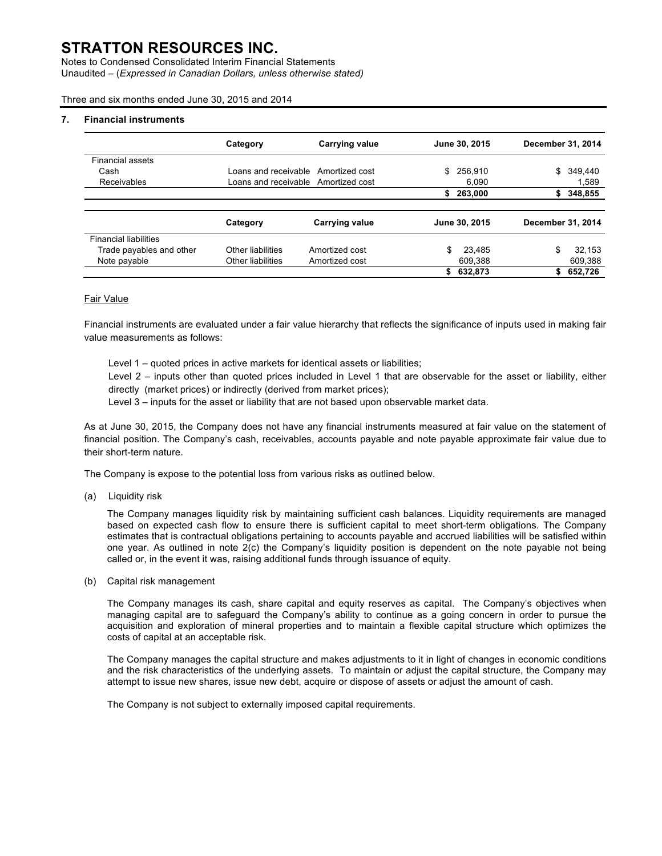Notes to Condensed Consolidated Interim Financial Statements Unaudited – (*Expressed in Canadian Dollars, unless otherwise stated)*

Three and six months ended June 30, 2015 and 2014

#### **7. Financial instruments**

|                              | Category          | <b>Carrying value</b>               |    | June 30, 2015 | December 31, 2014 |                   |
|------------------------------|-------------------|-------------------------------------|----|---------------|-------------------|-------------------|
| <b>Financial assets</b>      |                   |                                     |    |               |                   |                   |
| Cash                         |                   | Loans and receivable Amortized cost | \$ | 256.910       | \$                | 349,440           |
| Receivables                  |                   | Loans and receivable Amortized cost |    | 6.090         |                   | 1,589             |
|                              |                   |                                     | S  | 263.000       | S.                | 348,855           |
|                              |                   |                                     |    |               |                   |                   |
|                              | Category          | Carrying value                      |    | June 30, 2015 |                   | December 31, 2014 |
| <b>Financial liabilities</b> |                   |                                     |    |               |                   |                   |
| Trade payables and other     | Other liabilities | Amortized cost                      | \$ | 23.485        | \$                | 32.153            |
| Note payable                 | Other liabilities | Amortized cost                      |    | 609.388       |                   | 609,388           |
|                              |                   |                                     | \$ | 632.873       | \$                | 652.726           |

#### Fair Value

Financial instruments are evaluated under a fair value hierarchy that reflects the significance of inputs used in making fair value measurements as follows:

Level 1 – quoted prices in active markets for identical assets or liabilities;

Level 2 – inputs other than quoted prices included in Level 1 that are observable for the asset or liability, either directly (market prices) or indirectly (derived from market prices);

Level 3 – inputs for the asset or liability that are not based upon observable market data.

As at June 30, 2015, the Company does not have any financial instruments measured at fair value on the statement of financial position. The Company's cash, receivables, accounts payable and note payable approximate fair value due to their short-term nature.

The Company is expose to the potential loss from various risks as outlined below.

(a) Liquidity risk

The Company manages liquidity risk by maintaining sufficient cash balances. Liquidity requirements are managed based on expected cash flow to ensure there is sufficient capital to meet short-term obligations. The Company estimates that is contractual obligations pertaining to accounts payable and accrued liabilities will be satisfied within one year. As outlined in note 2(c) the Company's liquidity position is dependent on the note payable not being called or, in the event it was, raising additional funds through issuance of equity.

(b) Capital risk management

The Company manages its cash, share capital and equity reserves as capital. The Company's objectives when managing capital are to safeguard the Company's ability to continue as a going concern in order to pursue the acquisition and exploration of mineral properties and to maintain a flexible capital structure which optimizes the costs of capital at an acceptable risk.

The Company manages the capital structure and makes adjustments to it in light of changes in economic conditions and the risk characteristics of the underlying assets. To maintain or adjust the capital structure, the Company may attempt to issue new shares, issue new debt, acquire or dispose of assets or adjust the amount of cash.

The Company is not subject to externally imposed capital requirements.